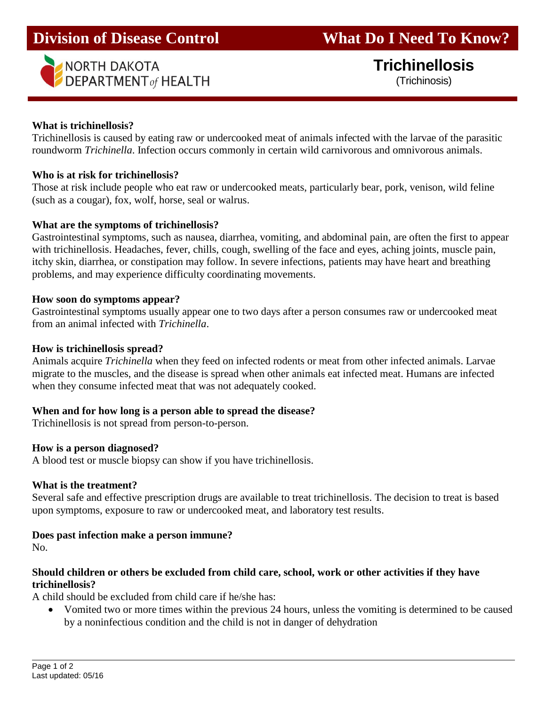# **Division of Disease Control What Do I Need To Know?**



# **Trichinellosis** (Trichinosis)

## **What is trichinellosis?**

Trichinellosis is caused by eating raw or undercooked meat of animals infected with the larvae of the parasitic roundworm *Trichinella*. Infection occurs commonly in certain wild carnivorous and omnivorous animals.

#### **Who is at risk for trichinellosis?**

Those at risk include people who eat raw or undercooked meats, particularly bear, pork, venison, wild feline (such as a cougar), fox, wolf, horse, seal or walrus.

## **What are the symptoms of trichinellosis?**

Gastrointestinal symptoms, such as nausea, diarrhea, vomiting, and abdominal pain, are often the first to appear with trichinellosis. Headaches, fever, chills, cough, swelling of the face and eyes, aching joints, muscle pain, itchy skin, diarrhea, or constipation may follow. In severe infections, patients may have heart and breathing problems, and may experience difficulty coordinating movements.

## **How soon do symptoms appear?**

Gastrointestinal symptoms usually appear one to two days after a person consumes raw or undercooked meat from an animal infected with *Trichinella*.

# **How is trichinellosis spread?**

Animals acquire *Trichinella* when they feed on infected rodents or meat from other infected animals. Larvae migrate to the muscles, and the disease is spread when other animals eat infected meat. Humans are infected when they consume infected meat that was not adequately cooked.

#### **When and for how long is a person able to spread the disease?**

Trichinellosis is not spread from person-to-person.

# **How is a person diagnosed?**

A blood test or muscle biopsy can show if you have trichinellosis.

#### **What is the treatment?**

Several safe and effective prescription drugs are available to treat trichinellosis. The decision to treat is based upon symptoms, exposure to raw or undercooked meat, and laboratory test results.

#### **Does past infection make a person immune?**

No.

# **Should children or others be excluded from child care, school, work or other activities if they have trichinellosis?**

A child should be excluded from child care if he/she has:

 Vomited two or more times within the previous 24 hours, unless the vomiting is determined to be caused by a noninfectious condition and the child is not in danger of dehydration